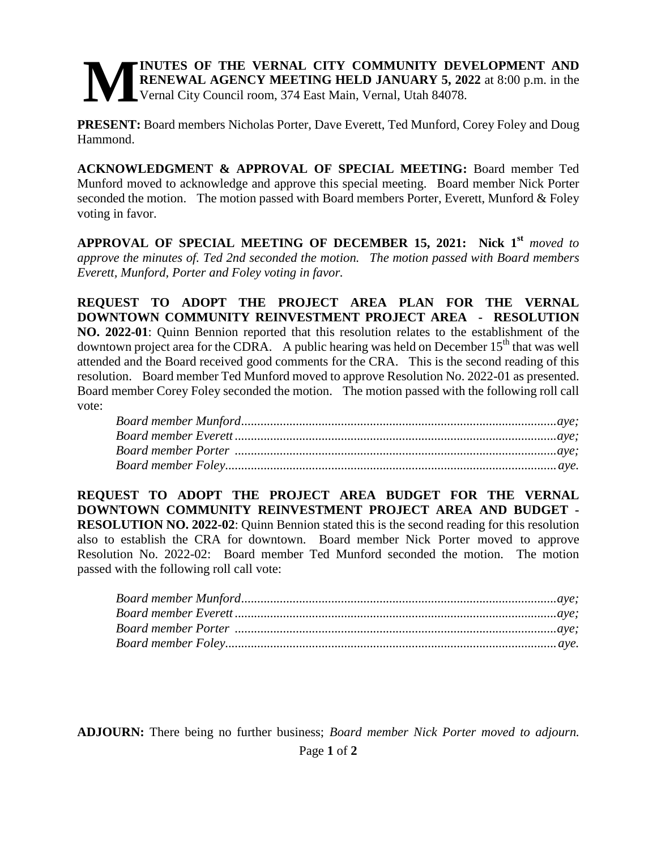## **INUTES OF THE VERNAL CITY COMMUNITY DEVELOPMENT AND RENEWAL AGENCY MEETING HELD JANUARY 5, 2022** at 8:00 p.m. in the Vernal City Council room, 374 East Main, Vernal, Utah 84078. **M**

**PRESENT:** Board members Nicholas Porter, Dave Everett, Ted Munford, Corey Foley and Doug Hammond.

**ACKNOWLEDGMENT & APPROVAL OF SPECIAL MEETING:** Board member Ted Munford moved to acknowledge and approve this special meeting. Board member Nick Porter seconded the motion. The motion passed with Board members Porter, Everett, Munford & Foley voting in favor.

**APPROVAL OF SPECIAL MEETING OF DECEMBER 15, 2021: Nick 1st** *moved to approve the minutes of. Ted 2nd seconded the motion. The motion passed with Board members Everett, Munford, Porter and Foley voting in favor.* 

**REQUEST TO ADOPT THE PROJECT AREA PLAN FOR THE VERNAL DOWNTOWN COMMUNITY REINVESTMENT PROJECT AREA - RESOLUTION NO. 2022-01**: Quinn Bennion reported that this resolution relates to the establishment of the downtown project area for the CDRA. A public hearing was held on December  $15<sup>th</sup>$  that was well attended and the Board received good comments for the CRA. This is the second reading of this resolution. Board member Ted Munford moved to approve Resolution No. 2022-01 as presented. Board member Corey Foley seconded the motion. The motion passed with the following roll call vote:

**REQUEST TO ADOPT THE PROJECT AREA BUDGET FOR THE VERNAL DOWNTOWN COMMUNITY REINVESTMENT PROJECT AREA AND BUDGET - RESOLUTION NO. 2022-02**: Quinn Bennion stated this is the second reading for this resolution also to establish the CRA for downtown. Board member Nick Porter moved to approve Resolution No. 2022-02: Board member Ted Munford seconded the motion. The motion passed with the following roll call vote:

Page **1** of **2 ADJOURN:** There being no further business; *Board member Nick Porter moved to adjourn.*